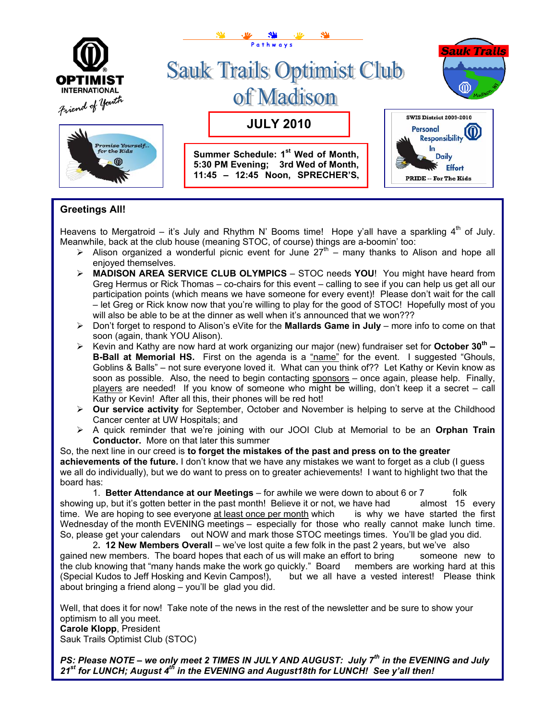

## **Greetings All!**

Heavens to Mergatroid – it's July and Rhythm N' Booms time! Hope y'all have a sparkling  $4<sup>th</sup>$  of July. Meanwhile, back at the club house (meaning STOC, of course) things are a-boomin' too:

- $\triangleright$  Alison organized a wonderful picnic event for June 27<sup>th</sup> many thanks to Alison and hope all enjoyed themselves.
- ¾ **MADISON AREA SERVICE CLUB OLYMPICS** STOC needs **YOU**! You might have heard from Greg Hermus or Rick Thomas – co-chairs for this event – calling to see if you can help us get all our participation points (which means we have someone for every event)! Please don't wait for the call – let Greg or Rick know now that you're willing to play for the good of STOC! Hopefully most of you will also be able to be at the dinner as well when it's announced that we won???
- ¾ Don't forget to respond to Alison's eVite for the **Mallards Game in July** more info to come on that soon (again, thank YOU Alison).
- ¾ Kevin and Kathy are now hard at work organizing our major (new) fundraiser set for **October 30th – B-Ball at Memorial HS.** First on the agenda is a "name" for the event. I suggested "Ghouls, Goblins & Balls" – not sure everyone loved it. What can you think of?? Let Kathy or Kevin know as soon as possible. Also, the need to begin contacting sponsors - once again, please help. Finally, players are needed! If you know of someone who might be willing, don't keep it a secret – call Kathy or Kevin! After all this, their phones will be red hot!
- ¾ **Our service activity** for September, October and November is helping to serve at the Childhood Cancer center at UW Hospitals; and
- ¾ A quick reminder that we're joining with our JOOI Club at Memorial to be an **Orphan Train Conductor.** More on that later this summer

So, the next line in our creed is **to forget the mistakes of the past and press on to the greater achievements of the future.** I don't know that we have any mistakes we want to forget as a club (I guess we all do individually), but we do want to press on to greater achievements! I want to highlight two that the board has:

 1. **Better Attendance at our Meetings** – for awhile we were down to about 6 or 7 folk showing up, but it's gotten better in the past month! Believe it or not, we have had almost 15 every time. We are hoping to see everyone at least once per month which is why we have started the first Wednesday of the month EVENING meetings – especially for those who really cannot make lunch time. So, please get your calendars out NOW and mark those STOC meetings times. You'll be glad you did.

 2**. 12 New Members Overall** – we've lost quite a few folk in the past 2 years, but we've also gained new members. The board hopes that each of us will make an effort to bring someone new to the club knowing that "many hands make the work go quickly." Board members are working hard at this (Special Kudos to Jeff Hosking and Kevin Campos!), but we all have a vested interest! Please think about bringing a friend along – you'll be glad you did.

Well, that does it for now! Take note of the news in the rest of the newsletter and be sure to show your optimism to all you meet. **Carole Klopp**, President Sauk Trails Optimist Club (STOC)

*PS: Please NOTE – we only meet 2 TIMES IN JULY AND AUGUST: July 7th in the EVENING and July 21st for LUNCH; August 4th in the EVENING and August18th for LUNCH! See y'all then!*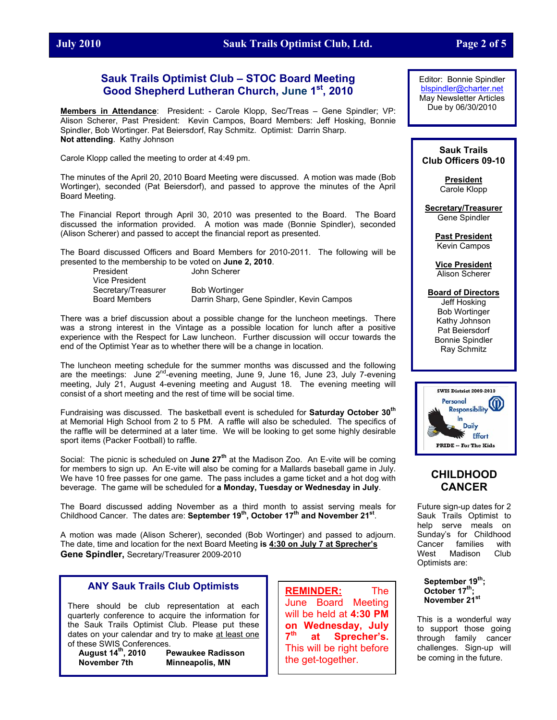## **July 2010 Sauk Trails Optimist Club, Ltd. Page 2 of 5**

## **Sauk Trails Optimist Club – STOC Board Meeting Good Shepherd Lutheran Church, June 1st, 2010**

**Members in Attendance**: President: - Carole Klopp, Sec/Treas – Gene Spindler; VP: Alison Scherer, Past President: Kevin Campos, Board Members: Jeff Hosking, Bonnie Spindler, Bob Wortinger. Pat Beiersdorf, Ray Schmitz. Optimist: Darrin Sharp. **Not attending**. Kathy Johnson

Carole Klopp called the meeting to order at 4:49 pm.

The minutes of the April 20, 2010 Board Meeting were discussed. A motion was made (Bob Wortinger), seconded (Pat Beiersdorf), and passed to approve the minutes of the April Board Meeting.

The Financial Report through April 30, 2010 was presented to the Board. The Board discussed the information provided. A motion was made (Bonnie Spindler), seconded (Alison Scherer) and passed to accept the financial report as presented.

The Board discussed Officers and Board Members for 2010-2011. The following will be presented to the membership to be voted on **June 2, 2010**.

 President John Scherer Vice President Secretary/Treasurer Bob Wortinger

Board Members Darrin Sharp, Gene Spindler, Kevin Campos

There was a brief discussion about a possible change for the luncheon meetings. There was a strong interest in the Vintage as a possible location for lunch after a positive experience with the Respect for Law luncheon. Further discussion will occur towards the end of the Optimist Year as to whether there will be a change in location.

The luncheon meeting schedule for the summer months was discussed and the following are the meetings: June  $2^{nd}$ -evening meeting, June 9, June 16, June 23, July 7-evening meeting, July 21, August 4-evening meeting and August 18. The evening meeting will consist of a short meeting and the rest of time will be social time.

Fundraising was discussed. The basketball event is scheduled for **Saturday October 30th** at Memorial High School from 2 to 5 PM. A raffle will also be scheduled. The specifics of the raffle will be determined at a later time. We will be looking to get some highly desirable sport items (Packer Football) to raffle.

Social: The picnic is scheduled on **June 27th** at the Madison Zoo. An E-vite will be coming for members to sign up. An E-vite will also be coming for a Mallards baseball game in July. We have 10 free passes for one game. The pass includes a game ticket and a hot dog with beverage. The game will be scheduled for **a Monday, Tuesday or Wednesday in July**.

The Board discussed adding November as a third month to assist serving meals for Childhood Cancer. The dates are: **September 19th, October 17th and November 21st**.

A motion was made (Alison Scherer), seconded (Bob Wortinger) and passed to adjourn. The date, time and location for the next Board Meeting **is 4:30 on July 7 at Sprecher's Gene Spindler,** Secretary/Treasurer 2009-2010

#### **ANY Sauk Trails Club Optimists**

There should be club representation at each quarterly conference to acquire the information for the Sauk Trails Optimist Club. Please put these dates on your calendar and try to make at least one of these SWIS Conferences.

**August 14th, 2010 Pewaukee Radisson November 7th Minneapolis, MN** 

**REMINDER:** The June Board Meeting will be held at **4:30 PM on Wednesday, July 7th at Sprecher's.** This will be right before the get-together.

Editor: Bonnie Spindler [blspindler@charter.net](mailto:blspindler@charter.net) May Newsletter Articles Due by 06/30/2010

#### **Sauk Trails Club Officers 09-10**

**President** Carole Klopp

**Secretary/Treasurer** Gene Spindler

> **Past President** Kevin Campos

> **Vice President** Alison Scherer

#### **Board of Directors**

Jeff Hosking Bob Wortinger Kathy Johnson Pat Beiersdorf Bonnie Spindler Ray Schmitz



## **CHILDHOOD CANCER**

Future sign-up dates for 2 Sauk Trails Optimist to help serve meals on Sunday's for Childhood Cancer families with West Madison Club Optimists are:

September 19<sup>th</sup>: October 17<sup>th</sup>:  **November 21st**

This is a wonderful way to support those going through family cancer challenges. Sign-up will be coming in the future.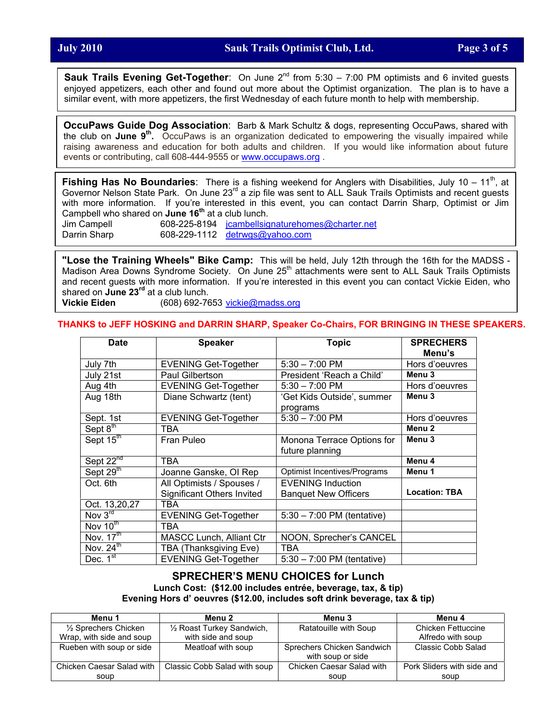**Sauk Trails Evening Get-Together**: On June 2<sup>nd</sup> from 5:30 – 7:00 PM optimists and 6 invited guests enjoyed appetizers, each other and found out more about the Optimist organization. The plan is to have a similar event, with more appetizers, the first Wednesday of each future month to help with membership.

**OccuPaws Guide Dog Association**: Barb & Mark Schultz & dogs, representing OccuPaws, shared with the club on **June 9th.** OccuPaws is an organization dedicated to empowering the visually impaired while raising awareness and education for both adults and children. If you would like information about future events or contributing, call 608-444-9555 or [www.occupaws.org](http://www.occupaws.org/) .

**Fishing Has No Boundaries**: There is a fishing weekend for Anglers with Disabilities, July 10 – 11<sup>th</sup>, at Governor Nelson State Park. On June 23<sup>rd</sup> a zip file was sent to ALL Sauk Trails Optimists and recent guests with more information. If you're interested in this event, you can contact Darrin Sharp, Optimist or Jim Campbell who shared on **June 16th** at a club lunch.

Jim Campell 608-225-8194 [jcambellsignaturehomes@charter.net](mailto:jcambellsignaturehomes@charter.net) Darrin Sharp 608-229-1112 [detrwgs@yahoo.com](mailto:detrwgs@yahoo.com)

**"Lose the Training Wheels" Bike Camp:** This will be held, July 12th through the 16th for the MADSS - Madison Area Downs Syndrome Society. On June 25<sup>th</sup> attachments were sent to ALL Sauk Trails Optimists and recent guests with more information. If you're interested in this event you can contact Vickie Eiden, who shared on **June 23rd** at a club lunch.

**Vickie Eiden** (608) 692-7653 [vickie@madss.org](mailto:vickie@madss.org)

#### **THANKS to JEFF HOSKING and DARRIN SHARP, Speaker Co-Chairs, FOR BRINGING IN THESE SPEAKERS.**

| Date                  | <b>Speaker</b>                    | <b>Topic</b>                         | <b>SPRECHERS</b>     |
|-----------------------|-----------------------------------|--------------------------------------|----------------------|
|                       |                                   |                                      | Menu's               |
| July 7th              | <b>EVENING Get-Together</b>       | $5:30 - 7:00$ PM                     | Hors d'oeuvres       |
| July 21st             | Paul Gilbertson                   | President 'Reach a Child'            | Menu <sub>3</sub>    |
| Aug 4th               | <b>EVENING Get-Together</b>       | $5:30 - 7:00$ PM                     | Hors d'oeuvres       |
| Aug 18th              | Diane Schwartz (tent)             | 'Get Kids Outside', summer           | Menu <sub>3</sub>    |
|                       |                                   | programs                             |                      |
| Sept. 1st             | <b>EVENING Get-Together</b>       | $5:30 - 7:00$ PM                     | Hors d'oeuvres       |
| Sept $8^{\text{th}}$  | TBA                               |                                      | Menu <sub>2</sub>    |
| Sept 15th             | Fran Puleo                        | Monona Terrace Options for           | Menu <sub>3</sub>    |
|                       |                                   | future planning                      |                      |
| Sept 22 <sup>nd</sup> | TBA                               |                                      | Menu 4               |
| Sept 29th             | Joanne Ganske, OI Rep             | Optimist Incentives/Programs         | Menu 1               |
| Oct. 6th              | All Optimists / Spouses /         | <b>EVENING Induction</b>             |                      |
|                       | <b>Significant Others Invited</b> | <b>Banquet New Officers</b>          | <b>Location: TBA</b> |
| Oct. 13,20,27         | TBA                               |                                      |                      |
| Nov $3^{rd}$          | <b>EVENING Get-Together</b>       | $5:30 - 7:00$ PM (tentative)         |                      |
| Nov 10th              | TBA                               |                                      |                      |
| Nov. 17 <sup>th</sup> | <b>MASCC Lunch, Alliant Ctr</b>   | NOON, Sprecher's CANCEL              |                      |
| Nov. $24^{th}$        | TBA (Thanksgiving Eve)            | <b>TBA</b>                           |                      |
| Dec. $1st$            | <b>EVENING Get-Together</b>       | $5:30 - 7:00 \text{ PM}$ (tentative) |                      |

#### **SPRECHER'S MENU CHOICES for Lunch Lunch Cost: (\$12.00 includes entrée, beverage, tax, & tip) Evening Hors d' oeuvres (\$12.00, includes soft drink beverage, tax & tip)**

| Menu 1                    | Menu 2                       | Menu 3                     | Menu 4                     |
|---------------------------|------------------------------|----------------------------|----------------------------|
| 1/2 Sprechers Chicken     | 1/2 Roast Turkey Sandwich,   | Ratatouille with Soup      | Chicken Fettuccine         |
| Wrap, with side and soup  | with side and soup           |                            | Alfredo with soup          |
| Rueben with soup or side  | Meatloaf with soup           | Sprechers Chicken Sandwich | <b>Classic Cobb Salad</b>  |
|                           |                              | with soup or side          |                            |
| Chicken Caesar Salad with | Classic Cobb Salad with soup | Chicken Caesar Salad with  | Pork Sliders with side and |
| soup                      |                              | soup                       | soup                       |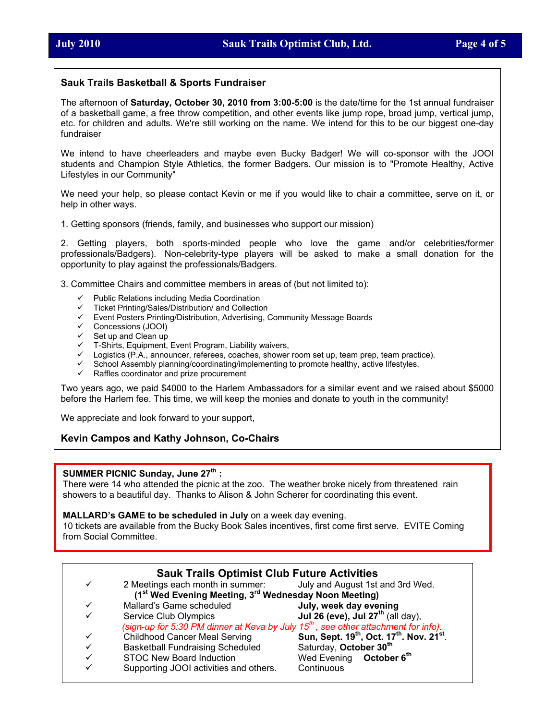#### **Sauk Trails Basketball & Sports Fundraiser**

The afternoon of **Saturday, October 30, 2010 from 3:00-5:00** is the date/time for the 1st annual fundraiser of a basketball game, a free throw competition, and other events like jump rope, broad jump, vertical jump, etc. for children and adults. We're still working on the name. We intend for this to be our biggest one-day fundraiser

We intend to have cheerleaders and maybe even Bucky Badger! We will co-sponsor with the JOOI students and Champion Style Athletics, the former Badgers. Our mission is to "Promote Healthy, Active Lifestyles in our Community"

We need your help, so please contact Kevin or me if you would like to chair a committee, serve on it, or help in other ways.

1. Getting sponsors (friends, family, and businesses who support our mission)

2. Getting players, both sports-minded people who love the game and/or celebrities/former professionals/Badgers). Non-celebrity-type players will be asked to make a small donation for the opportunity to play against the professionals/Badgers.

3. Committee Chairs and committee members in areas of (but not limited to):

- Public Relations including Media Coordination
- Ticket Printing/Sales/Distribution/ and Collection
- $\checkmark$  Event Posters Printing/Distribution, Advertising, Community Message Boards
- $\checkmark$  Concessions (JOOI)
- Set up and Clean up
- T-Shirts, Equipment, Event Program, Liability waivers,
- Logistics (P.A., announcer, referees, coaches, shower room set up, team prep, team practice).
- $\checkmark$  School Assembly planning/coordinating/implementing to promote healthy, active lifestyles.
- $\checkmark$  Raffles coordinator and prize procurement

Two years ago, we paid \$4000 to the Harlem Ambassadors for a similar event and we raised about \$5000 before the Harlem fee. This time, we will keep the monies and donate to youth in the community!

We appreciate and look forward to your support,

#### **Kevin Campos and Kathy Johnson, Co-Chairs**

#### **SUMMER PICNIC Sunday, June 27th :**

There were 14 who attended the picnic at the zoo. The weather broke nicely from threatened rain showers to a beautiful day. Thanks to Alison & John Scherer for coordinating this event.

#### **MALLARD's GAME to be scheduled in July** on a week day evening.

10 tickets are available from the Bucky Book Sales incentives, first come first serve. EVITE Coming from Social Committee.

| <b>Sauk Trails Optimist Club Future Activities</b>                                             |                                                                   |                                                                               |  |  |  |
|------------------------------------------------------------------------------------------------|-------------------------------------------------------------------|-------------------------------------------------------------------------------|--|--|--|
| ✓                                                                                              | 2 Meetings each month in summer: July and August 1st and 3rd Wed. |                                                                               |  |  |  |
| (1 <sup>st</sup> Wed Evening Meeting, 3 <sup>rd</sup> Wednesday Noon Meeting)                  |                                                                   |                                                                               |  |  |  |
|                                                                                                | Mallard's Game scheduled                                          | July, week day evening                                                        |  |  |  |
|                                                                                                | Service Club Olympics                                             | Jul 26 (eve), Jul $27th$ (all day),                                           |  |  |  |
| (sign-up for 5:30 PM dinner at Keva by July 15 <sup>th</sup> , see other attachment for info). |                                                                   |                                                                               |  |  |  |
|                                                                                                | <b>Childhood Cancer Meal Serving</b>                              | Sun, Sept. 19 <sup>th</sup> , Oct. 17 <sup>th</sup> . Nov. 21 <sup>st</sup> . |  |  |  |
| ✓                                                                                              | <b>Basketball Fundraising Scheduled</b>                           | Saturday, October 30 <sup>th</sup>                                            |  |  |  |
|                                                                                                | <b>STOC New Board Induction</b>                                   | Wed Evening October 6 <sup>th</sup>                                           |  |  |  |
|                                                                                                | Supporting JOOI activities and others.                            | Continuous                                                                    |  |  |  |